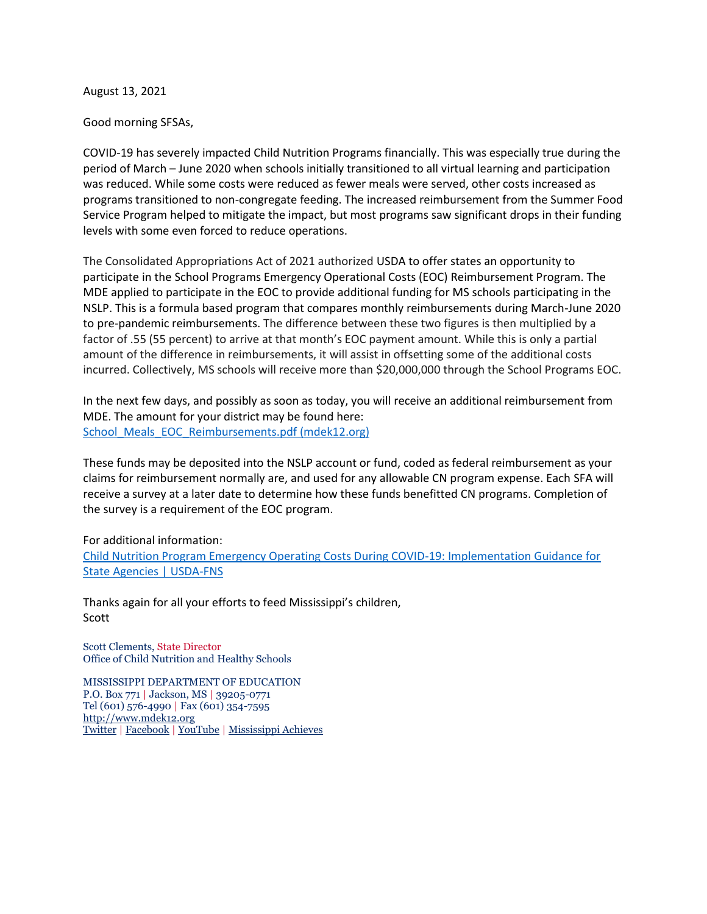August 13, 2021

Good morning SFSAs,

COVID-19 has severely impacted Child Nutrition Programs financially. This was especially true during the period of March – June 2020 when schools initially transitioned to all virtual learning and participation was reduced. While some costs were reduced as fewer meals were served, other costs increased as programs transitioned to non-congregate feeding. The increased reimbursement from the Summer Food Service Program helped to mitigate the impact, but most programs saw significant drops in their funding levels with some even forced to reduce operations.

The Consolidated Appropriations Act of 2021 authorized USDA to offer states an opportunity to participate in the School Programs Emergency Operational Costs (EOC) Reimbursement Program. The MDE applied to participate in the EOC to provide additional funding for MS schools participating in the NSLP. This is a formula based program that compares monthly reimbursements during March-June 2020 to pre-pandemic reimbursements. The difference between these two figures is then multiplied by a factor of .55 (55 percent) to arrive at that month's EOC payment amount. While this is only a partial amount of the difference in reimbursements, it will assist in offsetting some of the additional costs incurred. Collectively, MS schools will receive more than \$20,000,000 through the School Programs EOC.

In the next few days, and possibly as soon as today, you will receive an additional reimbursement from MDE. The amount for your district may be found here: [School\\_Meals\\_EOC\\_Reimbursements.pdf \(mdek12.org\)](https://www.mdek12.org/sites/default/files/documents/OCN/Schools/school_meals_eoc_reimbursements.pdf)

These funds may be deposited into the NSLP account or fund, coded as federal reimbursement as your claims for reimbursement normally are, and used for any allowable CN program expense. Each SFA will receive a survey at a later date to determine how these funds benefitted CN programs. Completion of the survey is a requirement of the EOC program.

For additional information:

[Child Nutrition Program Emergency Operating Costs During COVID-19: Implementation Guidance for](https://www.fns.usda.gov/cn/emergency-operating-costs-during-covid-19-implementation-guidance)  [State Agencies | USDA-FNS](https://www.fns.usda.gov/cn/emergency-operating-costs-during-covid-19-implementation-guidance)

Thanks again for all your efforts to feed Mississippi's children, Scott

Scott Clements, State Director Office of Child Nutrition and Healthy Schools

MISSISSIPPI DEPARTMENT OF EDUCATION P.O. Box 771 | Jackson, MS | 39205-0771 Tel (601) 576-4990 | Fax (601) 354-7595 [http://www.mdek12.org](http://www.mdek12.org/) [Twitter](https://twitter.com/MissDeptEd) | [Facebook](https://www.facebook.com/MissDeptEd/) | [YouTube](https://www.youtube.com/user/mdek12) | [Mississippi Achieves](https://msachieves.mdek12.org/)